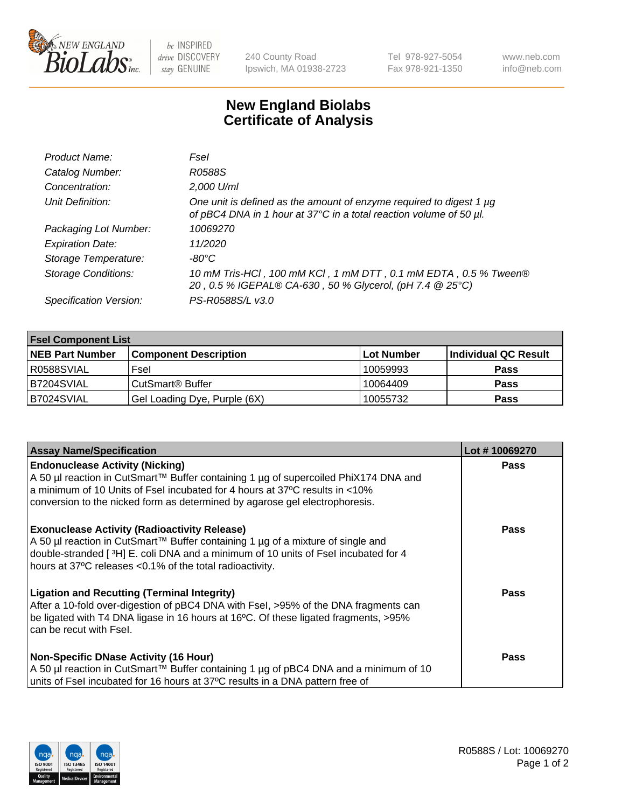

 $be$  INSPIRED drive DISCOVERY stay GENUINE

240 County Road Ipswich, MA 01938-2723 Tel 978-927-5054 Fax 978-921-1350 www.neb.com info@neb.com

## **New England Biolabs Certificate of Analysis**

| Product Name:              | Fsel                                                                                                                                      |
|----------------------------|-------------------------------------------------------------------------------------------------------------------------------------------|
| Catalog Number:            | R0588S                                                                                                                                    |
| Concentration:             | 2,000 U/ml                                                                                                                                |
| Unit Definition:           | One unit is defined as the amount of enzyme required to digest 1 µg<br>of pBC4 DNA in 1 hour at 37°C in a total reaction volume of 50 µl. |
| Packaging Lot Number:      | 10069270                                                                                                                                  |
| <b>Expiration Date:</b>    | 11/2020                                                                                                                                   |
| Storage Temperature:       | $-80^{\circ}$ C                                                                                                                           |
| <b>Storage Conditions:</b> | 10 mM Tris-HCl, 100 mM KCl, 1 mM DTT, 0.1 mM EDTA, 0.5 % Tween®<br>20, 0.5 % IGEPAL® CA-630, 50 % Glycerol, (pH 7.4 @ 25°C)               |
| Specification Version:     | PS-R0588S/L v3.0                                                                                                                          |

| <b>Fsel Component List</b> |                              |                   |                      |  |  |
|----------------------------|------------------------------|-------------------|----------------------|--|--|
| <b>NEB Part Number</b>     | <b>Component Description</b> | <b>Lot Number</b> | Individual QC Result |  |  |
| IR0588SVIAL                | Fsel                         | 10059993          | <b>Pass</b>          |  |  |
| B7204SVIAL                 | CutSmart <sup>®</sup> Buffer | 10064409          | <b>Pass</b>          |  |  |
| B7024SVIAL                 | Gel Loading Dye, Purple (6X) | 10055732          | <b>Pass</b>          |  |  |

| <b>Assay Name/Specification</b>                                                                                                                                            | Lot #10069270 |
|----------------------------------------------------------------------------------------------------------------------------------------------------------------------------|---------------|
| <b>Endonuclease Activity (Nicking)</b>                                                                                                                                     | <b>Pass</b>   |
| A 50 µl reaction in CutSmart™ Buffer containing 1 µg of supercoiled PhiX174 DNA and<br>a minimum of 10 Units of Fsel incubated for 4 hours at 37°C results in <10%         |               |
| conversion to the nicked form as determined by agarose gel electrophoresis.                                                                                                |               |
| <b>Exonuclease Activity (Radioactivity Release)</b>                                                                                                                        | <b>Pass</b>   |
| A 50 µl reaction in CutSmart™ Buffer containing 1 µg of a mixture of single and<br>double-stranded [3H] E. coli DNA and a minimum of 10 units of Fsel incubated for 4      |               |
| hours at 37°C releases <0.1% of the total radioactivity.                                                                                                                   |               |
| <b>Ligation and Recutting (Terminal Integrity)</b>                                                                                                                         | Pass          |
| After a 10-fold over-digestion of pBC4 DNA with Fsel, >95% of the DNA fragments can<br>be ligated with T4 DNA ligase in 16 hours at 16°C. Of these ligated fragments, >95% |               |
| can be recut with Fsel.                                                                                                                                                    |               |
|                                                                                                                                                                            |               |
| <b>Non-Specific DNase Activity (16 Hour)</b><br>A 50 µl reaction in CutSmart™ Buffer containing 1 µg of pBC4 DNA and a minimum of 10                                       | <b>Pass</b>   |
| units of Fsel incubated for 16 hours at 37°C results in a DNA pattern free of                                                                                              |               |